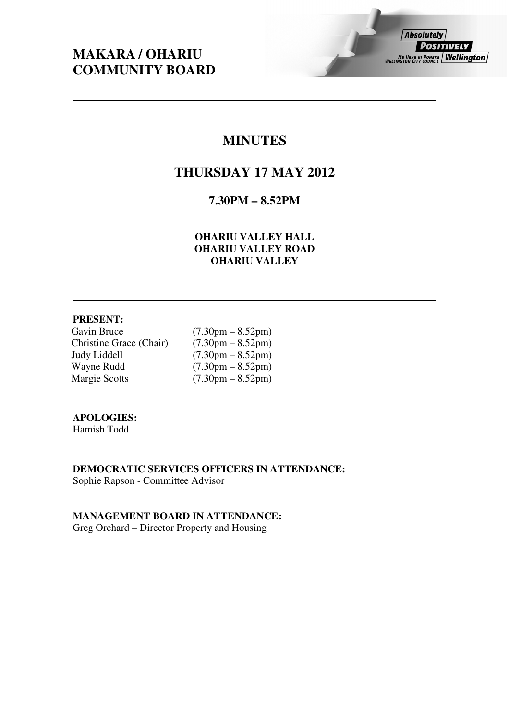# **MAKARA / OHARIU COMMUNITY BOARD**

# **MINUTES**

# **THURSDAY 17 MAY 2012**

# **7.30PM – 8.52PM**

## **OHARIU VALLEY HALL OHARIU VALLEY ROAD OHARIU VALLEY**

## **PRESENT:**

Gavin Bruce (7.30pm – 8.52pm)<br>Christine Grace (Chair) (7.30pm – 8.52pm) Christine Grace (Chair)<br>Judy Liddell Judy Liddell  $(7.30 \text{pm} - 8.52 \text{pm})$ <br>Wayne Rudd  $(7.30 \text{pm} - 8.52 \text{pm})$ Wayne Rudd (7.30pm – 8.52pm)<br>Margie Scotts (7.30pm – 8.52pm)

 $(7.30pm - 8.52pm)$ 

## **APOLOGIES:**

Hamish Todd

**DEMOCRATIC SERVICES OFFICERS IN ATTENDANCE:**  Sophie Rapson - Committee Advisor

**MANAGEMENT BOARD IN ATTENDANCE:**  Greg Orchard – Director Property and Housing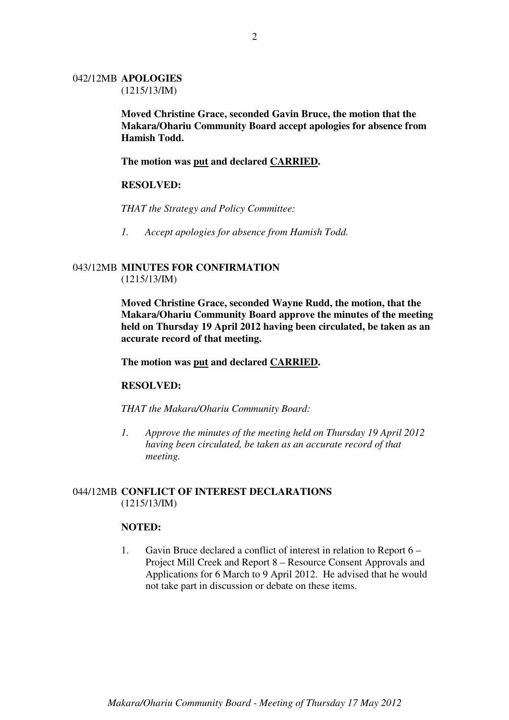#### 042/12MB **APOLOGIES** (1215/13/IM)

**Moved Christine Grace, seconded Gavin Bruce, the motion that the Makara/Ohariu Community Board accept apologies for absence from Hamish Todd.** 

## **The motion was put and declared CARRIED.**

## **RESOLVED:**

*THAT the Strategy and Policy Committee:* 

*1. Accept apologies for absence from Hamish Todd.* 

## 043/12MB **MINUTES FOR CONFIRMATION** (1215/13/IM)

**Moved Christine Grace, seconded Wayne Rudd, the motion, that the Makara/Ohariu Community Board approve the minutes of the meeting held on Thursday 19 April 2012 having been circulated, be taken as an accurate record of that meeting.** 

#### **The motion was put and declared CARRIED.**

#### **RESOLVED:**

*THAT the Makara/Ohariu Community Board:* 

*1. Approve the minutes of the meeting held on Thursday 19 April 2012 having been circulated, be taken as an accurate record of that meeting.* 

## 044/12MB **CONFLICT OF INTEREST DECLARATIONS**  (1215/13/IM)

#### **NOTED:**

1. Gavin Bruce declared a conflict of interest in relation to Report 6 – Project Mill Creek and Report 8 – Resource Consent Approvals and Applications for 6 March to 9 April 2012. He advised that he would not take part in discussion or debate on these items.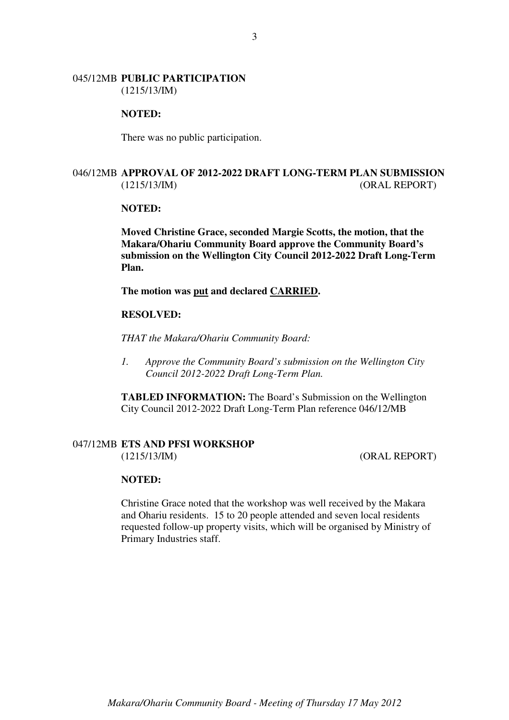#### 045/12MB **PUBLIC PARTICIPATION** (1215/13/IM)

#### **NOTED:**

There was no public participation.

## 046/12MB **APPROVAL OF 2012-2022 DRAFT LONG-TERM PLAN SUBMISSION** (1215/13/IM) (ORAL REPORT)

#### **NOTED:**

**Moved Christine Grace, seconded Margie Scotts, the motion, that the Makara/Ohariu Community Board approve the Community Board's submission on the Wellington City Council 2012-2022 Draft Long-Term Plan.** 

**The motion was put and declared CARRIED.** 

### **RESOLVED:**

*THAT the Makara/Ohariu Community Board:* 

*1. Approve the Community Board's submission on the Wellington City Council 2012-2022 Draft Long-Term Plan.* 

**TABLED INFORMATION:** The Board's Submission on the Wellington City Council 2012-2022 Draft Long-Term Plan reference 046/12/MB

#### 047/12MB **ETS AND PFSI WORKSHOP**

(1215/13/IM) (ORAL REPORT)

#### **NOTED:**

Christine Grace noted that the workshop was well received by the Makara and Ohariu residents. 15 to 20 people attended and seven local residents requested follow-up property visits, which will be organised by Ministry of Primary Industries staff.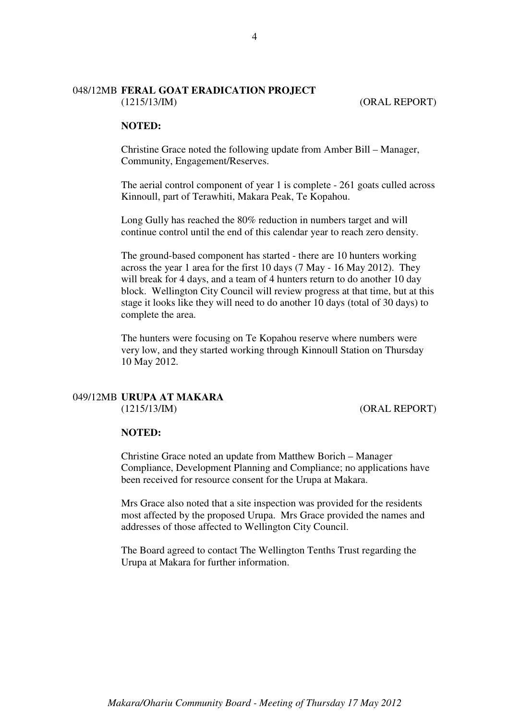# 048/12MB **FERAL GOAT ERADICATION PROJECT**

(1215/13/IM) (ORAL REPORT)

## **NOTED:**

Christine Grace noted the following update from Amber Bill – Manager, Community, Engagement/Reserves.

The aerial control component of year 1 is complete - 261 goats culled across Kinnoull, part of Terawhiti, Makara Peak, Te Kopahou.

Long Gully has reached the 80% reduction in numbers target and will continue control until the end of this calendar year to reach zero density.

The ground-based component has started - there are 10 hunters working across the year 1 area for the first 10 days (7 May - 16 May 2012). They will break for 4 days, and a team of 4 hunters return to do another 10 day block. Wellington City Council will review progress at that time, but at this stage it looks like they will need to do another 10 days (total of 30 days) to complete the area.

The hunters were focusing on Te Kopahou reserve where numbers were very low, and they started working through Kinnoull Station on Thursday 10 May 2012.

## 049/12MB **URUPA AT MAKARA** (1215/13/IM) (ORAL REPORT)

## **NOTED:**

Christine Grace noted an update from Matthew Borich – Manager Compliance, Development Planning and Compliance; no applications have been received for resource consent for the Urupa at Makara.

Mrs Grace also noted that a site inspection was provided for the residents most affected by the proposed Urupa. Mrs Grace provided the names and addresses of those affected to Wellington City Council.

The Board agreed to contact The Wellington Tenths Trust regarding the Urupa at Makara for further information.

4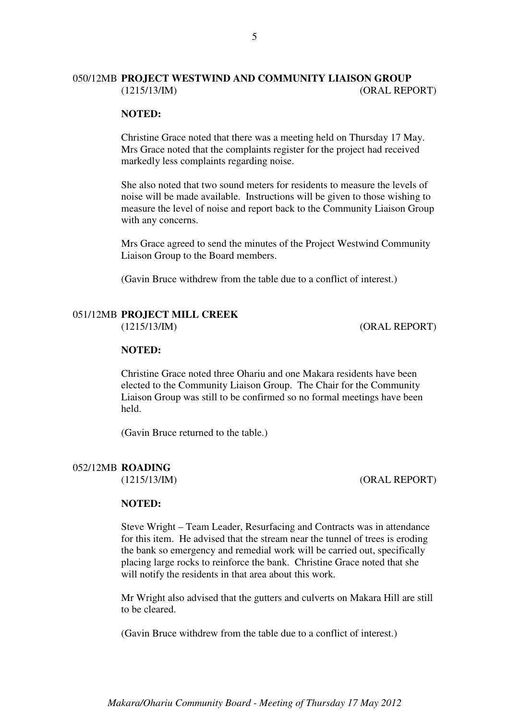## 050/12MB **PROJECT WESTWIND AND COMMUNITY LIAISON GROUP** (1215/13/IM) (ORAL REPORT)

5

#### **NOTED:**

Christine Grace noted that there was a meeting held on Thursday 17 May. Mrs Grace noted that the complaints register for the project had received markedly less complaints regarding noise.

She also noted that two sound meters for residents to measure the levels of noise will be made available. Instructions will be given to those wishing to measure the level of noise and report back to the Community Liaison Group with any concerns.

Mrs Grace agreed to send the minutes of the Project Westwind Community Liaison Group to the Board members.

(Gavin Bruce withdrew from the table due to a conflict of interest.)

# 051/12MB **PROJECT MILL CREEK**

(1215/13/IM) (ORAL REPORT)

## **NOTED:**

Christine Grace noted three Ohariu and one Makara residents have been elected to the Community Liaison Group. The Chair for the Community Liaison Group was still to be confirmed so no formal meetings have been held.

(Gavin Bruce returned to the table.)

#### 052/12MB **ROADING**

#### (1215/13/IM) (ORAL REPORT)

## **NOTED:**

Steve Wright – Team Leader, Resurfacing and Contracts was in attendance for this item. He advised that the stream near the tunnel of trees is eroding the bank so emergency and remedial work will be carried out, specifically placing large rocks to reinforce the bank. Christine Grace noted that she will notify the residents in that area about this work.

Mr Wright also advised that the gutters and culverts on Makara Hill are still to be cleared.

(Gavin Bruce withdrew from the table due to a conflict of interest.)

*Makara/Ohariu Community Board - Meeting of Thursday 17 May 2012*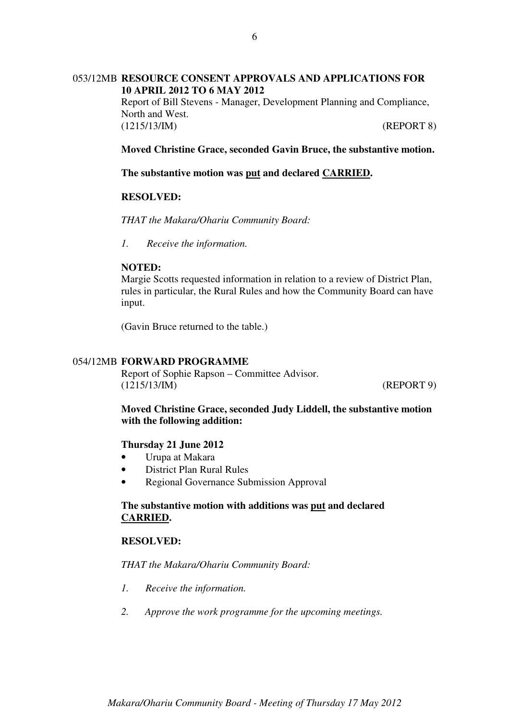## 053/12MB **RESOURCE CONSENT APPROVALS AND APPLICATIONS FOR 10 APRIL 2012 TO 6 MAY 2012**

Report of Bill Stevens - Manager, Development Planning and Compliance, North and West. (1215/13/IM) (REPORT 8)

**Moved Christine Grace, seconded Gavin Bruce, the substantive motion.** 

**The substantive motion was put and declared CARRIED.** 

## **RESOLVED:**

*THAT the Makara/Ohariu Community Board:* 

*1. Receive the information.* 

#### **NOTED:**

Margie Scotts requested information in relation to a review of District Plan, rules in particular, the Rural Rules and how the Community Board can have input.

(Gavin Bruce returned to the table.)

## 054/12MB **FORWARD PROGRAMME**

Report of Sophie Rapson – Committee Advisor. (1215/13/IM) (REPORT 9)

**Moved Christine Grace, seconded Judy Liddell, the substantive motion with the following addition:** 

#### **Thursday 21 June 2012**

- Urupa at Makara
- District Plan Rural Rules
- Regional Governance Submission Approval

**The substantive motion with additions was put and declared CARRIED.** 

## **RESOLVED:**

*THAT the Makara/Ohariu Community Board:* 

- *1. Receive the information.*
- *2. Approve the work programme for the upcoming meetings.*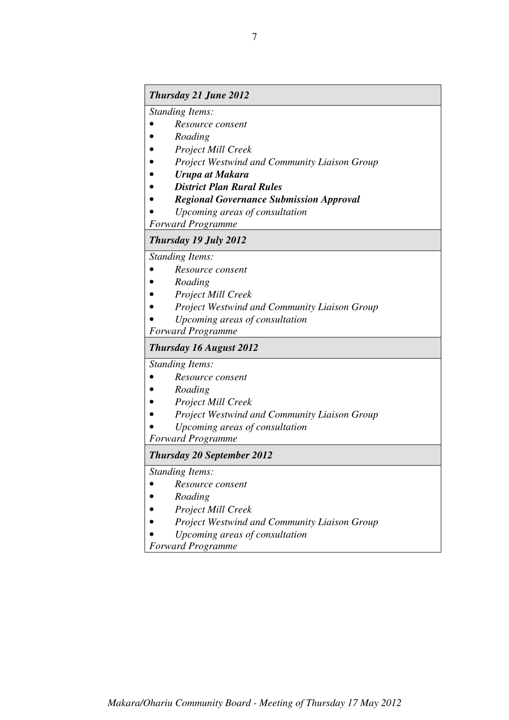## *Thursday 21 June 2012*

*Standing Items:* 

- *Resource consent*
- *Roading*
- *Project Mill Creek*
- *Project Westwind and Community Liaison Group*
- *Urupa at Makara*
- *District Plan Rural Rules*
- *Regional Governance Submission Approval*
- *Upcoming areas of consultation*

*Forward Programme* 

#### *Thursday 19 July 2012*

*Standing Items:* 

- *Resource consent*
- *Roading*
- *Project Mill Creek*
- *Project Westwind and Community Liaison Group*
- *Upcoming areas of consultation*

*Forward Programme* 

#### *Thursday 16 August 2012*

*Standing Items:* 

- *Resource consent*
- *Roading*
- *Project Mill Creek*
- *Project Westwind and Community Liaison Group*
- *Upcoming areas of consultation*

*Forward Programme* 

#### *Thursday 20 September 2012*

*Standing Items:* 

- *Resource consent*
- *Roading*
- *Project Mill Creek*
- *Project Westwind and Community Liaison Group*
- *Upcoming areas of consultation*

*Forward Programme*